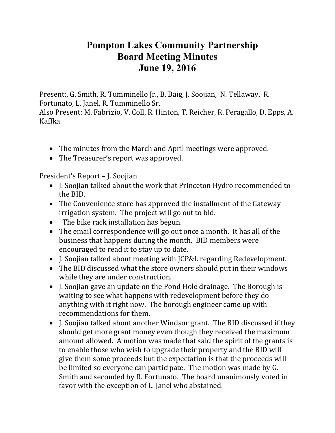## **Pompton Lakes Community Partnership Board Meeting Minutes June 19, 2016**

Present:, G. Smith, R. Tumminello Jr., B. Baig, J. Soojian, N. Tellaway, R. Fortunato, L. Janel, R. Tumminello Sr.

Also Present: M. Fabrizio, V. Coll, R. Hinton, T. Reicher, R. Peragallo, D. Epps, A. Kaffka

- The minutes from the March and April meetings were approved.
- The Treasurer's report was approved.

President's Report – J. Soojian

- J. Soojian talked about the work that Princeton Hydro recommended to the BID.
- The Convenience store has approved the installment of the Gateway irrigation system. The project will go out to bid.
- The bike rack installation has begun.
- The email correspondence will go out once a month. It has all of the business that happens during the month. BID members were encouraged to read it to stay up to date.
- J. Soojian talked about meeting with JCP&L regarding Redevelopment.
- The BID discussed what the store owners should put in their windows while they are under construction.
- I. Soojian gave an update on the Pond Hole drainage. The Borough is waiting to see what happens with redevelopment before they do anything with it right now. The borough engineer came up with recommendations for them.
- I. Soojian talked about another Windsor grant. The BID discussed if they should get more grant money even though they received the maximum amount allowed. A motion was made that said the spirit of the grants is to enable those who wish to upgrade their property and the BID will give them some proceeds but the expectation is that the proceeds will be limited so everyone can participate. The motion was made by G. Smith and seconded by R. Fortunato. The board unanimously voted in favor with the exception of L. Janel who abstained.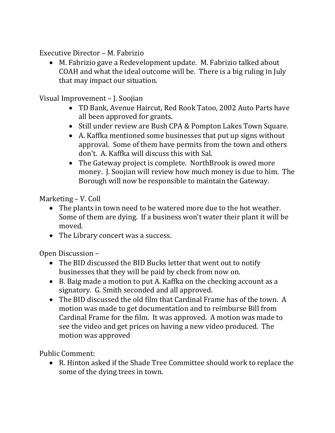Executive Director – M. Fabrizio

 M. Fabrizio gave a Redevelopment update. M. Fabrizio talked about COAH and what the ideal outcome will be. There is a big ruling in July that may impact our situation.

Visual Improvement – J. Soojian

- TD Bank, Avenue Haircut, Red Rook Tatoo, 2002 Auto Parts have all been approved for grants.
- Still under review are Bush CPA & Pompton Lakes Town Square.
- A. Kaffka mentioned some businesses that put up signs without approval. Some of them have permits from the town and others don't. A. Kaffka will discuss this with Sal.
- The Gateway project is complete. NorthBrook is owed more money. J. Soojian will review how much money is due to him. The Borough will now be responsible to maintain the Gateway.

Marketing – V. Coll

- The plants in town need to be watered more due to the hot weather. Some of them are dying. If a business won't water their plant it will be moved.
- The Library concert was a success.

Open Discussion –

- The BID discussed the BID Bucks letter that went out to notify businesses that they will be paid by check from now on.
- B. Baig made a motion to put A. Kaffka on the checking account as a signatory. G. Smith seconded and all approved.
- The BID discussed the old film that Cardinal Frame has of the town. A motion was made to get documentation and to reimburse Bill from Cardinal Frame for the film. It was approved. A motion was made to see the video and get prices on having a new video produced. The motion was approved

Public Comment:

 R. Hinton asked if the Shade Tree Committee should work to replace the some of the dying trees in town.